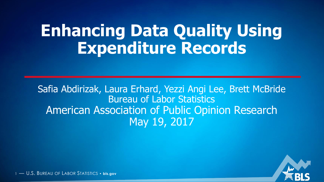## **Enhancing Data Quality Using Expenditure Records**

Safia Abdirizak, Laura Erhard, Yezzi Angi Lee, Brett McBride Bureau of Labor Statistics American Association of Public Opinion Research May 19, 2017

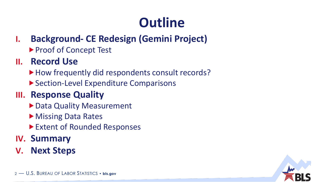## **Outline**

- **I. Background- CE Redesign (Gemini Project)** 
	- ▶ Proof of Concept Test

#### **II. Record Use**

- ▶ How frequently did respondents consult records?
- ▶ Section-Level Expenditure Comparisons

#### **III. Response Quality**

- ▶ Data Quality Measurement
- ▶ Missing Data Rates
- ▶ Extent of Rounded Responses
- **IV. Summary**
- **V. Next Steps**

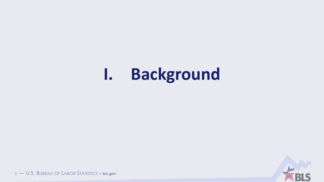#### **Background**  $\mathbf{l}$ .

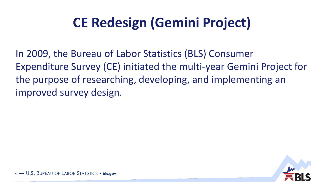## **CE Redesign (Gemini Project)**

In 2009, the Bureau of Labor Statistics (BLS) Consumer Expenditure Survey (CE) initiated the multi-year Gemini Project for the purpose of researching, developing, and implementing an improved survey design.

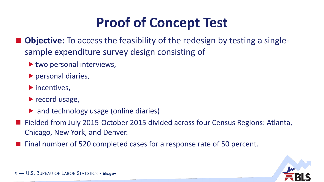### **Proof of Concept Test**

- **Objective:** To access the feasibility of the redesign by testing a singlesample expenditure survey design consisting of
	- ▶ two personal interviews,
	- **Personal diaries,**
	- $\blacktriangleright$  incentives,
	- record usage,
	- ▶ and technology usage (online diaries)
- Fielded from July 2015-October 2015 divided across four Census Regions: Atlanta, Chicago, New York, and Denver.
- Final number of 520 completed cases for a response rate of 50 percent.

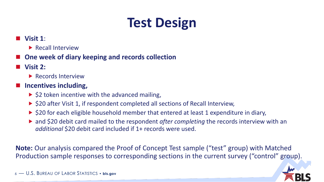### **Test Design**

#### **Visit 1**:

**Recall Interview** 

#### **One week of diary keeping and records collection**

- **Visit 2:** 
	- **Records Interview**

#### **Incentives including,**

- $\triangleright$  \$2 token incentive with the advanced mailing,
- ▶ \$20 after Visit 1, if respondent completed all sections of Recall Interview,
- $\triangleright$  \$20 for each eligible household member that entered at least 1 expenditure in diary,
- ▶ and \$20 debit card mailed to the respondent *after completing* the records interview with an *additional* \$20 debit card included if 1+ records were used.

**Note:** Our analysis compared the Proof of Concept Test sample ("test" group) with Matched Production sample responses to corresponding sections in the current survey ("control" group).

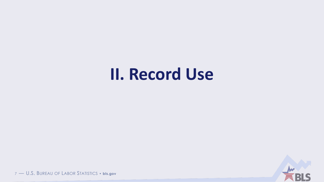## II. Record Use

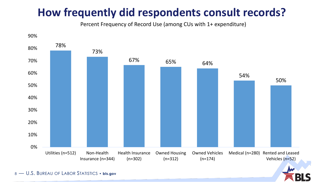### **How frequently did respondents consult records?**

Percent Frequency of Record Use (among CUs with 1+ expenditure)



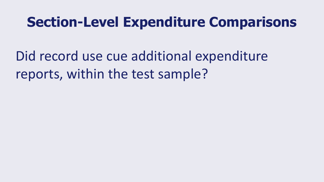### **Section-Level Expenditure Comparisons**

Did record use cue additional expenditure reports, within the test sample?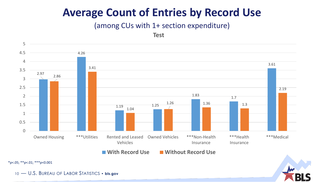#### **Average Count of Entries by Record Use**

#### (among CUs with 1+ section expenditure)



 $*p$ <.05;  $*p$ <.01;  $**p$ <0.001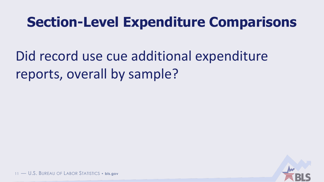### **Section-Level Expenditure Comparisons**

Did record use cue additional expenditure reports, overall by sample?

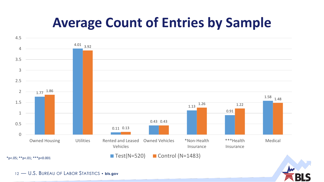### **Average Count of Entries by Sample**



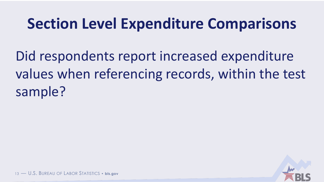## **Section Level Expenditure Comparisons**

Did respondents report increased expenditure values when referencing records, within the test sample?

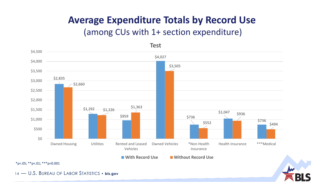#### **Average Expenditure Totals by Record Use**

#### (among CUs with 1+ section expenditure)



 $*p$ <.05;  $*p$ <.01;  $**p$ <0.001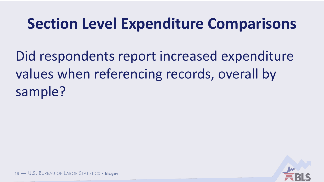## **Section Level Expenditure Comparisons**

Did respondents report increased expenditure values when referencing records, overall by sample?

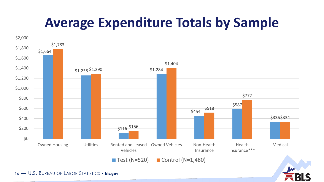### **Average Expenditure Totals by Sample**

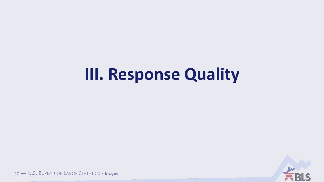## III. Response Quality

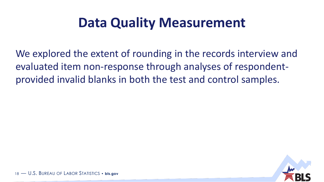### **Data Quality Measurement**

We explored the extent of rounding in the records interview and evaluated item non-response through analyses of respondentprovided invalid blanks in both the test and control samples.

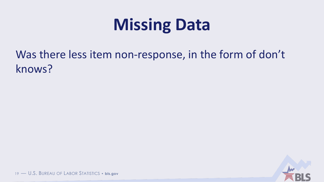# **Missing Data**

Was there less item non-response, in the form of don't knows?

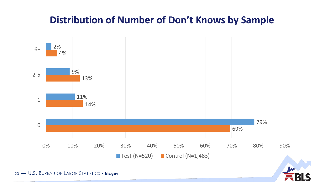#### **Distribution of Number of Don't Knows by Sample**



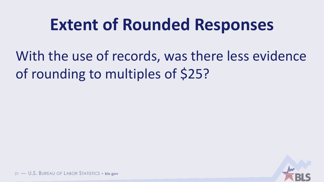## **Extent of Rounded Responses**

With the use of records, was there less evidence of rounding to multiples of \$25?

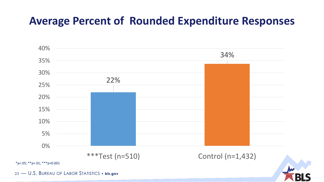#### **Average Percent of Rounded Expenditure Responses**

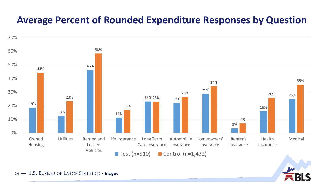#### **Average Percent of Rounded Expenditure Responses by Question**



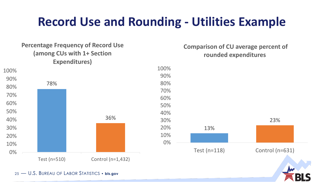### **Record Use and Rounding - Utilities Example**

#### 78% 36% Test (n=510) Control (n=1,432) 0% 10% 20% 30% 40% 50% 60% 70% 80% 90% 100% **Percentage Frequency of Record Use (among CUs with 1+ Section Expenditures)** 13% 23% 0% 10% 20% 30% 40% 50% 60% 70% 80% 90% 100% Test (n=118) Control (n=631) **Comparison of CU average percent of rounded expenditures**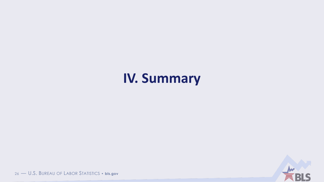### **IV. Summary**

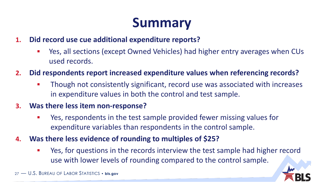### **Summary**

- **1. Did record use cue additional expenditure reports?**
	- Yes, all sections (except Owned Vehicles) had higher entry averages when CUs used records.
- **2. Did respondents report increased expenditure values when referencing records?**
	- Though not consistently significant, record use was associated with increases in expenditure values in both the control and test sample.
- **3. Was there less item non-response?**
	- Yes, respondents in the test sample provided fewer missing values for expenditure variables than respondents in the control sample.
- **4. Was there less evidence of rounding to multiples of \$25?** 
	- Yes, for questions in the records interview the test sample had higher record use with lower levels of rounding compared to the control sample.

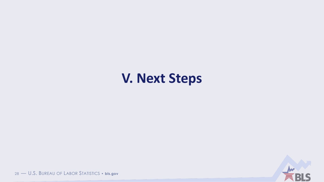### **V. Next Steps**

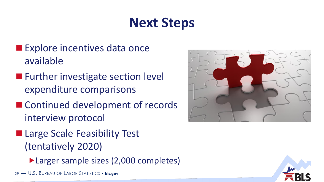### **Next Steps**

- **Explore incentives data once** available
- **Further investigate section level** expenditure comparisons
- Continued development of records interview protocol
- **Large Scale Feasibility Test** (tentatively 2020)
	- ▶ Larger sample sizes (2,000 completes)
- 29 U.S. BUREAU OF LABOR STATISTICS **bls.gov**